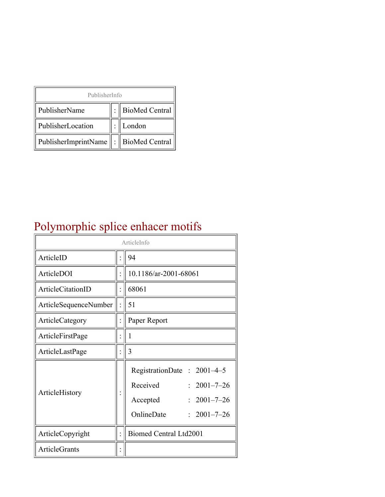| PublisherInfo                               |  |                    |  |  |
|---------------------------------------------|--|--------------------|--|--|
| PublisherName                               |  | :   BioMed Central |  |  |
| PublisherLocation                           |  | London             |  |  |
| PublisherImprintName    :    BioMed Central |  |                    |  |  |

# Polymorphic splice enhacer motifs

| ArticleInfo           |  |                                                                                                                                       |  |
|-----------------------|--|---------------------------------------------------------------------------------------------------------------------------------------|--|
| ArticleID             |  | 94                                                                                                                                    |  |
| ArticleDOI            |  | 10.1186/ar-2001-68061                                                                                                                 |  |
| ArticleCitationID     |  | 68061                                                                                                                                 |  |
| ArticleSequenceNumber |  | 51                                                                                                                                    |  |
| ArticleCategory       |  | Paper Report                                                                                                                          |  |
| ArticleFirstPage      |  | 1                                                                                                                                     |  |
| ArticleLastPage       |  | 3                                                                                                                                     |  |
| ArticleHistory        |  | RegistrationDate: 2001-4-5<br>Received<br>$2001 - 7 - 26$<br>$2001 - 7 - 26$<br>Accepted<br>OnlineDate<br>$2001 - 7 - 26$<br>$\gamma$ |  |
| ArticleCopyright      |  | Biomed Central Ltd2001                                                                                                                |  |
| <b>ArticleGrants</b>  |  |                                                                                                                                       |  |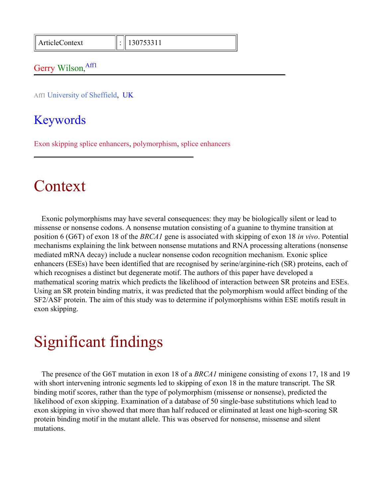ArticleContext : 130753311

#### Gerry Wilson, Affl

Aff1 University of Sheffield, UK

### Keywords

Exon skipping splice enhancers, polymorphism, splice enhancers

### Context

Exonic polymorphisms may have several consequences: they may be biologically silent or lead to missense or nonsense codons. A nonsense mutation consisting of a guanine to thymine transition at position 6 (G6T) of exon 18 of the *BRCA1* gene is associated with skipping of exon 18 *in vivo*. Potential mechanisms explaining the link between nonsense mutations and RNA processing alterations (nonsense mediated mRNA decay) include a nuclear nonsense codon recognition mechanism. Exonic splice enhancers (ESEs) have been identified that are recognised by serine/arginine-rich (SR) proteins, each of which recognises a distinct but degenerate motif. The authors of this paper have developed a mathematical scoring matrix which predicts the likelihood of interaction between SR proteins and ESEs. Using an SR protein binding matrix, it was predicted that the polymorphism would affect binding of the SF2/ASF protein. The aim of this study was to determine if polymorphisms within ESE motifs result in exon skipping.

## Significant findings

The presence of the G6T mutation in exon 18 of a *BRCA1* minigene consisting of exons 17, 18 and 19 with short intervening intronic segments led to skipping of exon 18 in the mature transcript. The SR binding motif scores, rather than the type of polymorphism (missense or nonsense), predicted the likelihood of exon skipping. Examination of a database of 50 single-base substitutions which lead to exon skipping in vivo showed that more than half reduced or eliminated at least one high-scoring SR protein binding motif in the mutant allele. This was observed for nonsense, missense and silent mutations.